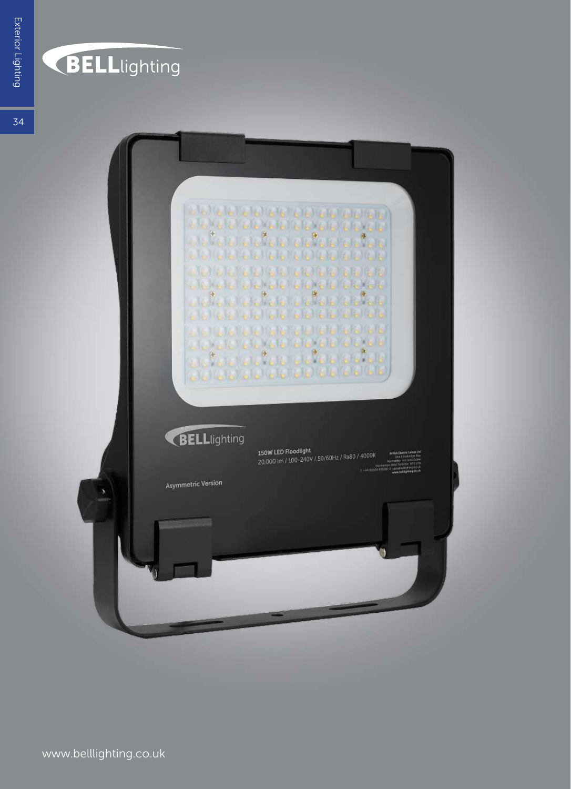## **BELL**lighting

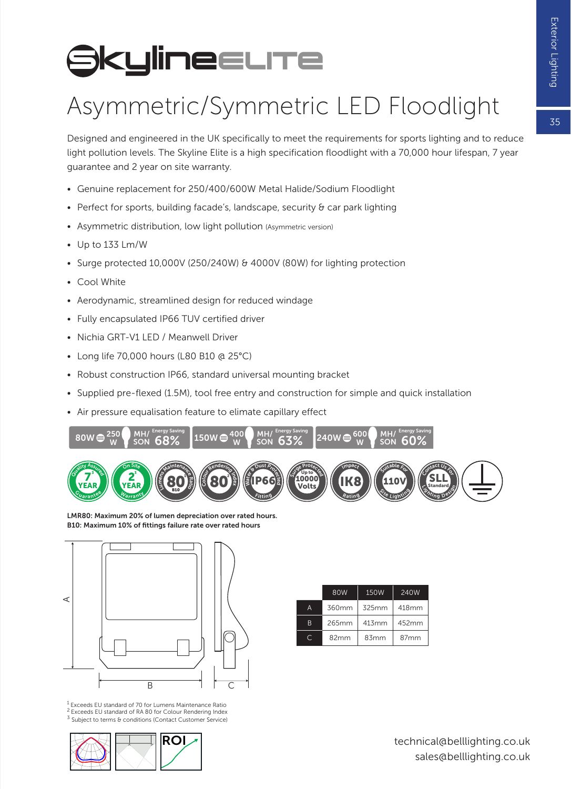$\overline{5}$ 

## **SkylineELITe**

## Asymmetric/Symmetric LED Floodlight

Designed and engineered in the UK specifically to meet the requirements for sports lighting and to reduce light pollution levels. The Skyline Elite is a high specification floodlight with a 70,000 hour lifespan, 7 year guarantee and 2 year on site warranty.

- Genuine replacement for 250/400/600W Metal Halide/Sodium Floodlight
- Perfect for sports, building facade's, landscape, security & car park lighting
- Asymmetric distribution, low light pollution (Asymmetric version)
- Up to 133 Lm/W
- Surge protected 10,000V (250/240W) & 4000V (80W) for lighting protection
- Cool White
- Aerodynamic, streamlined design for reduced windage
- Fully encapsulated IP66 TUV certified driver
- Nichia GRT-V1 LED / Meanwell Driver
- Long life 70,000 hours (L80 B10 @ 25°C)
- Robust construction IP66, standard universal mounting bracket
- Supplied pre-flexed (1.5M), tool free entry and construction for simple and quick installation
- Air pressure equalisation feature to elimate capillary effect



LMR80: Maximum 20% of lumen depreciation over rated hours. B10: Maximum 10% of fittings failure rate over rated hours



|  |   | 80W   | 150W  | 240W  |  |  |  |
|--|---|-------|-------|-------|--|--|--|
|  | A | 360mm | 325mm | 418mm |  |  |  |
|  | B | 265mm | 413mm | 452mm |  |  |  |
|  |   | 82mm  | 83mm  | 87mm  |  |  |  |

1 Exceeds EU standard of 70 for Lumens Maintenance Ratio 2 Exceeds EU standard of RA 80 for Colour Rendering Index

3 Subject to terms & conditions (Contact Customer Service)

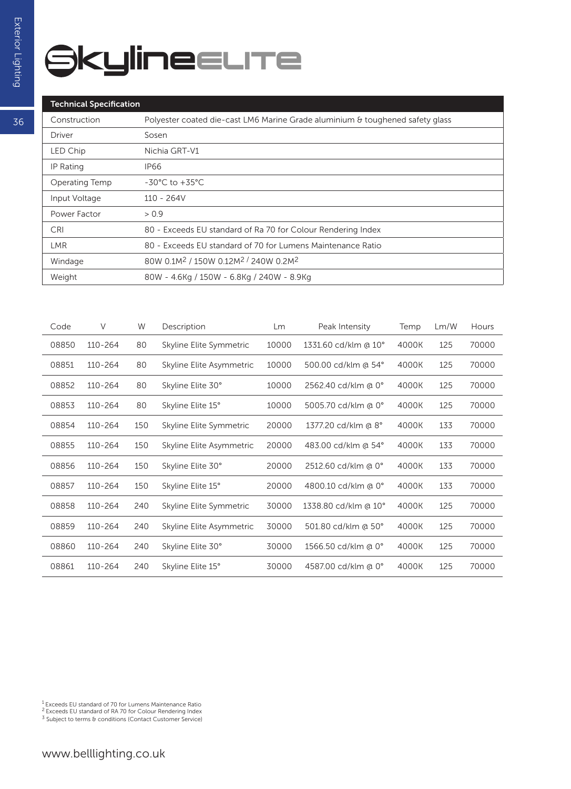## **SkylineELITe**

| Construction   | Polyester coated die-cast LM6 Marine Grade aluminium & toughened safety glass |
|----------------|-------------------------------------------------------------------------------|
| Driver         | Sosen                                                                         |
| LED Chip       | Nichia GRT-V1                                                                 |
| IP Rating      | IP66                                                                          |
| Operating Temp | $-30^{\circ}$ C to $+35^{\circ}$ C                                            |
| Input Voltage  | $110 - 264V$                                                                  |
| Power Factor   | > 0.9                                                                         |
| <b>CRI</b>     | 80 - Exceeds EU standard of Ra 70 for Colour Rendering Index                  |
| LMR.           | 80 - Exceeds EU standard of 70 for Lumens Maintenance Ratio                   |
| Windage        | 80W 0.1M <sup>2</sup> / 150W 0.12M <sup>2</sup> / 240W 0.2M <sup>2</sup>      |
| Weight         | 80W - 4.6Kg / 150W - 6.8Kg / 240W - 8.9Kg                                     |
|                |                                                                               |

| Code  | $\vee$      | W   | Description              | Lm    | Peak Intensity       | Temp  | Lm/W | Hours |
|-------|-------------|-----|--------------------------|-------|----------------------|-------|------|-------|
| 08850 | 110-264     | 80  | Skyline Elite Symmetric  | 10000 | 1331.60 cd/klm @ 10° | 4000K | 125  | 70000 |
| 08851 | $110 - 264$ | 80  | Skyline Elite Asymmetric | 10000 | 500.00 cd/klm @ 54°  | 4000K | 125  | 70000 |
| 08852 | 110-264     | 80  | Skyline Elite 30°        | 10000 | 2562.40 cd/klm @ 0°  | 4000K | 125  | 70000 |
| 08853 | 110-264     | 80  | Skyline Elite 15°        | 10000 | 5005.70 cd/klm @ 0°  | 4000K | 125  | 70000 |
| 08854 | 110-264     | 150 | Skyline Elite Symmetric  | 20000 | 1377.20 cd/klm @ 8°  | 4000K | 133  | 70000 |
| 08855 | 110-264     | 150 | Skyline Elite Asymmetric | 20000 | 483.00 cd/klm @ 54°  | 4000K | 133  | 70000 |
| 08856 | 110-264     | 150 | Skyline Elite 30°        | 20000 | 2512.60 cd/klm @ 0°  | 4000K | 133  | 70000 |
| 08857 | 110-264     | 150 | Skyline Elite 15°        | 20000 | 4800.10 cd/klm @ 0°  | 4000K | 133  | 70000 |
| 08858 | 110-264     | 240 | Skyline Elite Symmetric  | 30000 | 1338.80 cd/klm @ 10° | 4000K | 125  | 70000 |
| 08859 | 110-264     | 240 | Skyline Elite Asymmetric | 30000 | 501.80 cd/klm @ 50°  | 4000K | 125  | 70000 |
| 08860 | 110-264     | 240 | Skyline Elite 30°        | 30000 | 1566.50 cd/klm @ 0°  | 4000K | 125  | 70000 |
| 08861 | 110-264     | 240 | Skyline Elite 15°        | 30000 | 4587.00 cd/klm @ 0°  | 4000K | 125  | 70000 |

<sup>1</sup> Exceeds EU standard of 70 for Lumens Maintenance Ratio<br><sup>2</sup> Exceeds EU standard of RA 70 for Colour Rendering Index<br><sup>3</sup> Subject to terms & conditions (Contact Customer Service)

36